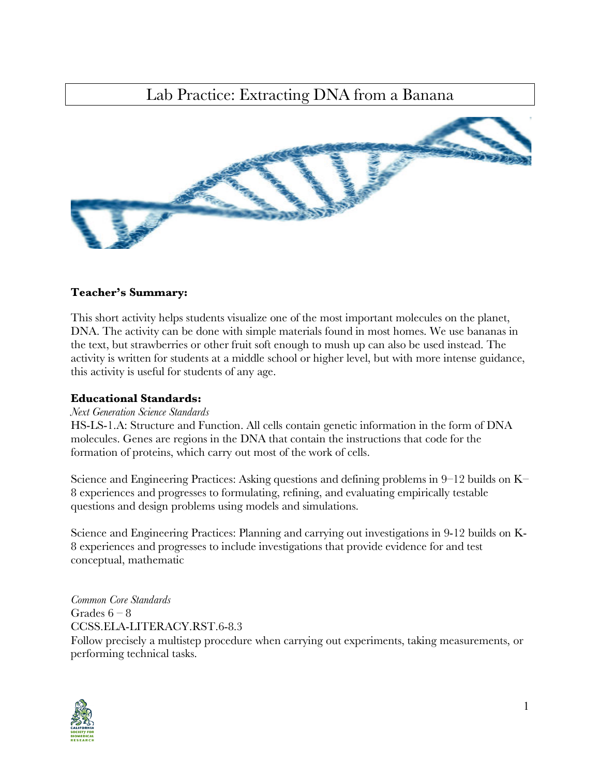### Lab Practice: Extracting DNA from a Banana



#### **Teacher's Summary:**

This short activity helps students visualize one of the most important molecules on the planet, DNA. The activity can be done with simple materials found in most homes. We use bananas in the text, but strawberries or other fruit soft enough to mush up can also be used instead. The activity is written for students at a middle school or higher level, but with more intense guidance, this activity is useful for students of any age.

#### **Educational Standards:**

#### *Next Generation Science Standards*

HS-LS-1.A: Structure and Function. All cells contain genetic information in the form of DNA molecules. Genes are regions in the DNA that contain the instructions that code for the formation of proteins, which carry out most of the work of cells.

Science and Engineering Practices: Asking questions and defining problems in 9–12 builds on K– 8 experiences and progresses to formulating, refining, and evaluating empirically testable questions and design problems using models and simulations.

Science and Engineering Practices: Planning and carrying out investigations in 9-12 builds on K-8 experiences and progresses to include investigations that provide evidence for and test conceptual, mathematic

*Common Core Standards* Grades  $6 - 8$ CCSS.ELA-LITERACY.RST.6-8.3 Follow precisely a multistep procedure when carrying out experiments, taking measurements, or performing technical tasks.

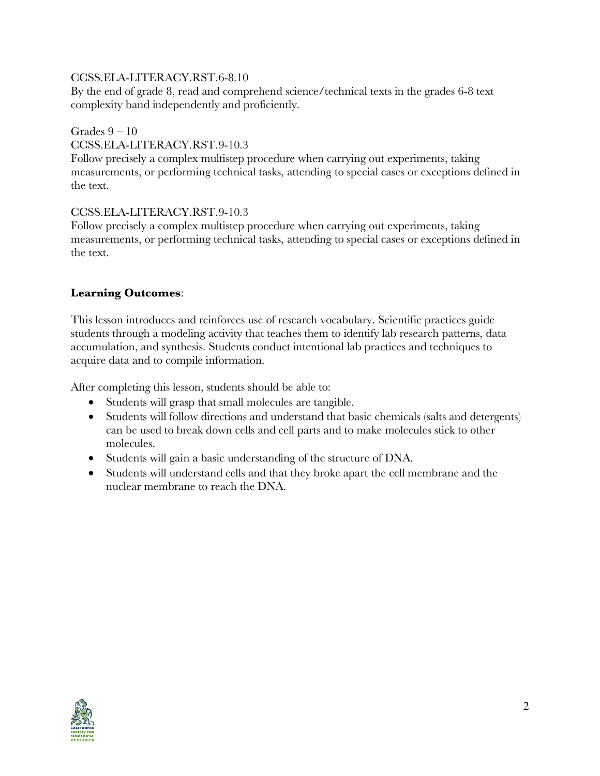#### CCSS.ELA-LITERACY.RST.6-8.10

By the end of grade 8, read and comprehend science/technical texts in the grades 6-8 text complexity band independently and proficiently.

#### Grades  $9 - 10$

#### CCSS.ELA-LITERACY.RST.9-10.3

Follow precisely a complex multistep procedure when carrying out experiments, taking measurements, or performing technical tasks, attending to special cases or exceptions defined in the text.

#### CCSS.ELA-LITERACY.RST.9-10.3

Follow precisely a complex multistep procedure when carrying out experiments, taking measurements, or performing technical tasks, attending to special cases or exceptions defined in the text.

#### **Learning Outcomes**:

This lesson introduces and reinforces use of research vocabulary. Scientific practices guide students through a modeling activity that teaches them to identify lab research patterns, data accumulation, and synthesis. Students conduct intentional lab practices and techniques to acquire data and to compile information.

After completing this lesson, students should be able to:

- Students will grasp that small molecules are tangible.
- Students will follow directions and understand that basic chemicals (salts and detergents) can be used to break down cells and cell parts and to make molecules stick to other molecules.
- Students will gain a basic understanding of the structure of DNA.
- Students will understand cells and that they broke apart the cell membrane and the nuclear membrane to reach the DNA.

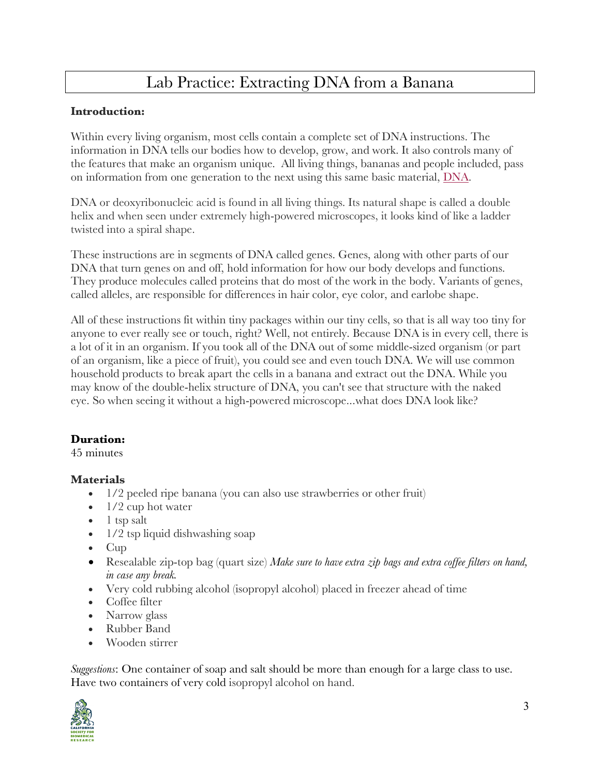## Lab Practice: Extracting DNA from a Banana

#### **Introduction:**

Within every living organism, most cells contain a complete set of DNA instructions. The information in DNA tells our bodies how to develop, grow, and work. It also controls many of the features that make an organism unique. All living things, bananas and people included, pass on information from one generation to the next using this same basic material, DNA.

DNA or deoxyribonucleic acid is found in all living things. Its natural shape is called a double helix and when seen under extremely high-powered microscopes, it looks kind of like a ladder twisted into a spiral shape.

These instructions are in segments of DNA called genes. Genes, along with other parts of our DNA that turn genes on and off, hold information for how our body develops and functions. They produce molecules called proteins that do most of the work in the body. Variants of genes, called alleles, are responsible for differences in hair color, eye color, and earlobe shape.

All of these instructions fit within tiny packages within our tiny cells, so that is all way too tiny for anyone to ever really see or touch, right? Well, not entirely. Because DNA is in every cell, there is a lot of it in an organism. If you took all of the DNA out of some middle-sized organism (or part of an organism, like a piece of fruit), you could see and even touch DNA. We will use common household products to break apart the cells in a banana and extract out the DNA. While you may know of the double-helix structure of DNA, you can't see that structure with the naked eye. So when seeing it without a high-powered microscope...what does DNA look like?

#### **Duration:**

45 minutes

#### **Materials**

- 1/2 peeled ripe banana (you can also use strawberries or other fruit)
- 1/2 cup hot water
- 1 tsp salt
- 1/2 tsp liquid dishwashing soap
- Cup
- Resealable zip-top bag (quart size) *Make sure to have extra zip bags and extra coffee filters on hand, in case any break.*
- Very cold rubbing alcohol (isopropyl alcohol) placed in freezer ahead of time
- Coffee filter
- Narrow glass
- Rubber Band
- Wooden stirrer

*Suggestions*: One container of soap and salt should be more than enough for a large class to use. Have two containers of very cold isopropyl alcohol on hand.

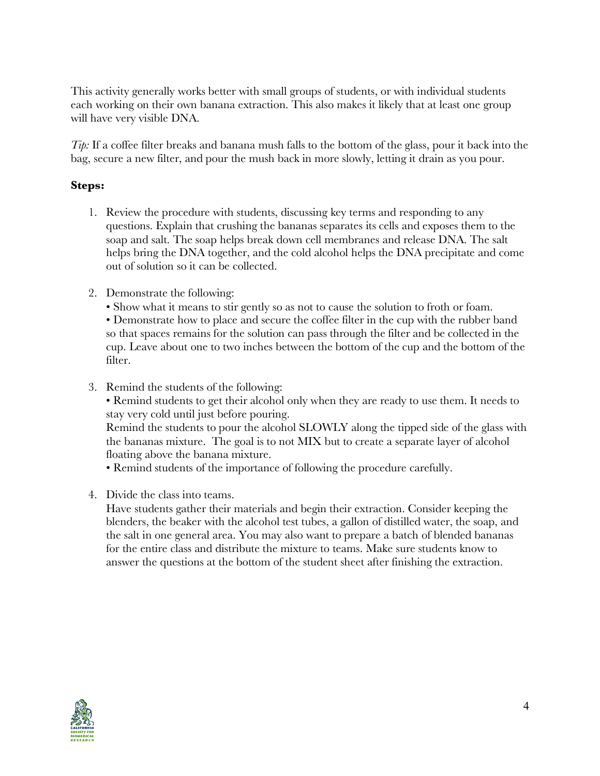This activity generally works better with small groups of students, or with individual students each working on their own banana extraction. This also makes it likely that at least one group will have very visible DNA.

*Tip:* If a coffee filter breaks and banana mush falls to the bottom of the glass, pour it back into the bag, secure a new filter, and pour the mush back in more slowly, letting it drain as you pour.

#### **Steps:**

- 1. Review the procedure with students, discussing key terms and responding to any questions. Explain that crushing the bananas separates its cells and exposes them to the soap and salt. The soap helps break down cell membranes and release DNA. The salt helps bring the DNA together, and the cold alcohol helps the DNA precipitate and come out of solution so it can be collected.
- 2. Demonstrate the following:
	- Show what it means to stir gently so as not to cause the solution to froth or foam.

• Demonstrate how to place and secure the coffee filter in the cup with the rubber band so that spaces remains for the solution can pass through the filter and be collected in the cup. Leave about one to two inches between the bottom of the cup and the bottom of the filter.

- 3. Remind the students of the following:
	- Remind students to get their alcohol only when they are ready to use them. It needs to stay very cold until just before pouring.

Remind the students to pour the alcohol SLOWLY along the tipped side of the glass with the bananas mixture. The goal is to not MIX but to create a separate layer of alcohol floating above the banana mixture.

• Remind students of the importance of following the procedure carefully.

4. Divide the class into teams.

Have students gather their materials and begin their extraction. Consider keeping the blenders, the beaker with the alcohol test tubes, a gallon of distilled water, the soap, and the salt in one general area. You may also want to prepare a batch of blended bananas for the entire class and distribute the mixture to teams. Make sure students know to answer the questions at the bottom of the student sheet after finishing the extraction.

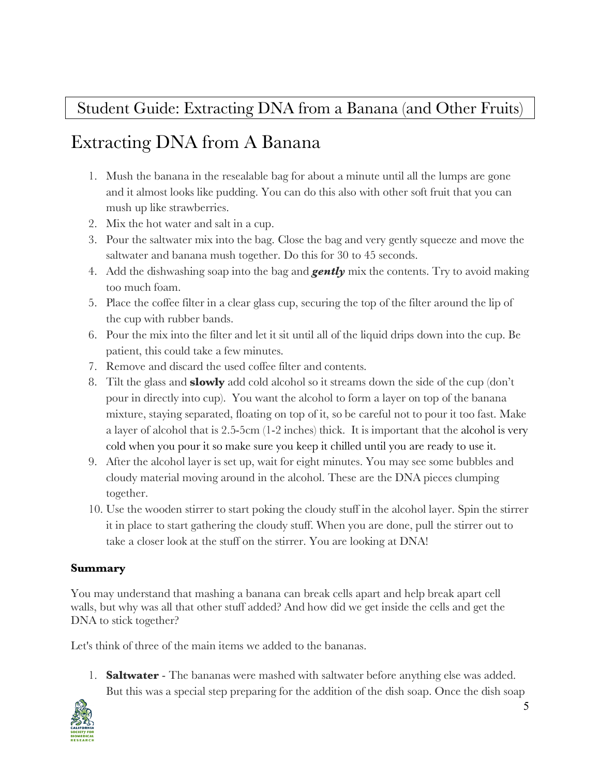## Student Guide: Extracting DNA from a Banana (and Other Fruits)

# Extracting DNA from A Banana

- 1. Mush the banana in the resealable bag for about a minute until all the lumps are gone and it almost looks like pudding. You can do this also with other soft fruit that you can mush up like strawberries.
- 2. Mix the hot water and salt in a cup.
- 3. Pour the saltwater mix into the bag. Close the bag and very gently squeeze and move the saltwater and banana mush together. Do this for 30 to 45 seconds.
- 4. Add the dishwashing soap into the bag and *gently* mix the contents. Try to avoid making too much foam.
- 5. Place the coffee filter in a clear glass cup, securing the top of the filter around the lip of the cup with rubber bands.
- 6. Pour the mix into the filter and let it sit until all of the liquid drips down into the cup. Be patient, this could take a few minutes.
- 7. Remove and discard the used coffee filter and contents.
- 8. Tilt the glass and **slowly** add cold alcohol so it streams down the side of the cup (don't pour in directly into cup). You want the alcohol to form a layer on top of the banana mixture, staying separated, floating on top of it, so be careful not to pour it too fast. Make a layer of alcohol that is 2.5-5cm (1-2 inches) thick. It is important that the alcohol is very cold when you pour it so make sure you keep it chilled until you are ready to use it.
- 9. After the alcohol layer is set up, wait for eight minutes. You may see some bubbles and cloudy material moving around in the alcohol. These are the DNA pieces clumping together.
- 10. Use the wooden stirrer to start poking the cloudy stuff in the alcohol layer. Spin the stirrer it in place to start gathering the cloudy stuff. When you are done, pull the stirrer out to take a closer look at the stuff on the stirrer. You are looking at DNA!

### **Summary**

You may understand that mashing a banana can break cells apart and help break apart cell walls, but why was all that other stuff added? And how did we get inside the cells and get the DNA to stick together?

Let's think of three of the main items we added to the bananas.

1. **Saltwater** - The bananas were mashed with saltwater before anything else was added. But this was a special step preparing for the addition of the dish soap. Once the dish soap